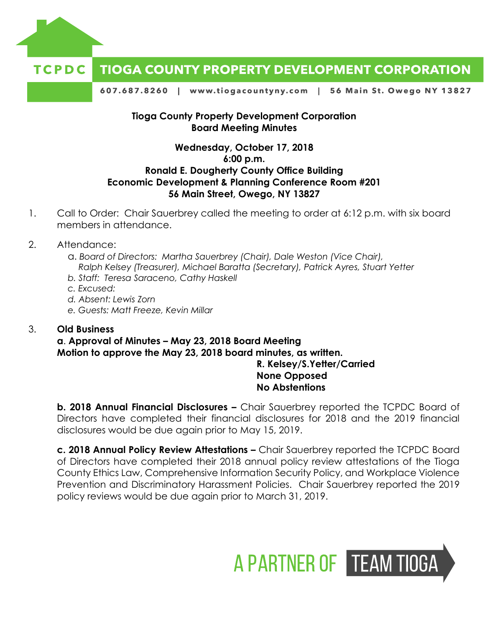

#### TCPDC **TIOGA COUNTY PROPERTY DEVELOPMENT CORPORATION**

607.687.8260 | www.tiogacountyny.com | 56 Main St. Owego NY 13827

#### **Tioga County Property Development Corporation Board Meeting Minutes**

#### **Wednesday, October 17, 2018 6:00 p.m. Ronald E. Dougherty County Office Building Economic Development & Planning Conference Room #201 56 Main Street, Owego, NY 13827**

- 1. Call to Order: Chair Sauerbrey called the meeting to order at 6:12 p.m. with six board members in attendance.
- 2. Attendance:
	- a. *Board of Directors: Martha Sauerbrey (Chair), Dale Weston (Vice Chair), Ralph Kelsey (Treasurer), Michael Baratta (Secretary), Patrick Ayres, Stuart Yetter*
	- *b. Staff: Teresa Saraceno, Cathy Haskell*
	- *c. Excused:*
	- *d. Absent: Lewis Zorn*
	- *e. Guests: Matt Freeze, Kevin Millar*

#### 3. **Old Business**

# **a**. **Approval of Minutes – May 23, 2018 Board Meeting Motion to approve the May 23, 2018 board minutes, as written.**

# **R. Kelsey/S.Yetter/Carried None Opposed No Abstentions**

**b.** 2018 Annual Financial Disclosures – Chair Sauerbrey reported the TCPDC Board of Directors have completed their financial disclosures for 2018 and the 2019 financial disclosures would be due again prior to May 15, 2019.

**c. 2018 Annual Policy Review Attestations –** Chair Sauerbrey reported the TCPDC Board of Directors have completed their 2018 annual policy review attestations of the Tioga County Ethics Law, Comprehensive Information Security Policy, and Workplace Violence Prevention and Discriminatory Harassment Policies. Chair Sauerbrey reported the 2019 policy reviews would be due again prior to March 31, 2019.

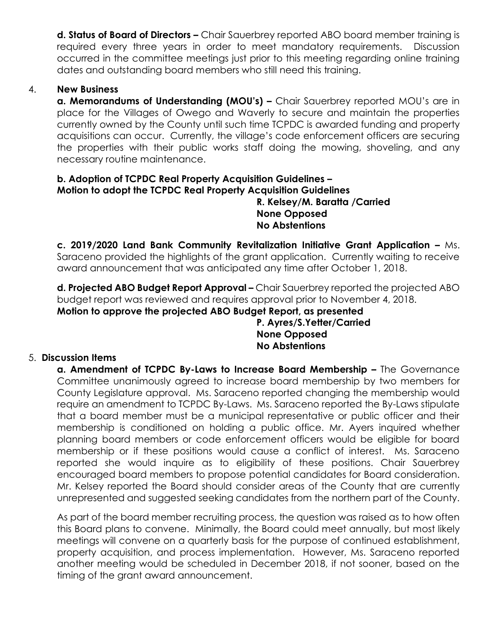**d. Status of Board of Directors –** Chair Sauerbrey reported ABO board member training is required every three years in order to meet mandatory requirements. Discussion occurred in the committee meetings just prior to this meeting regarding online training dates and outstanding board members who still need this training.

## 4. **New Business**

**a. Memorandums of Understanding (MOU's) –** Chair Sauerbrey reported MOU's are in place for the Villages of Owego and Waverly to secure and maintain the properties currently owned by the County until such time TCPDC is awarded funding and property acquisitions can occur. Currently, the village's code enforcement officers are securing the properties with their public works staff doing the mowing, shoveling, and any necessary routine maintenance.

## **b. Adoption of TCPDC Real Property Acquisition Guidelines – Motion to adopt the TCPDC Real Property Acquisition Guidelines**

## **R. Kelsey/M. Baratta /Carried None Opposed No Abstentions**

**c. 2019/2020 Land Bank Community Revitalization Initiative Grant Application –** Ms. Saraceno provided the highlights of the grant application. Currently waiting to receive award announcement that was anticipated any time after October 1, 2018.

**d. Projected ABO Budget Report Approval –** Chair Sauerbrey reported the projected ABO budget report was reviewed and requires approval prior to November 4, 2018. **Motion to approve the projected ABO Budget Report, as presented** 

# **P. Ayres/S.Yetter/Carried None Opposed No Abstentions**

#### 5. **Discussion Items**

**a. Amendment of TCPDC By-Laws to Increase Board Membership –** The Governance Committee unanimously agreed to increase board membership by two members for County Legislature approval. Ms. Saraceno reported changing the membership would require an amendment to TCPDC By-Laws. Ms. Saraceno reported the By-Laws stipulate that a board member must be a municipal representative or public officer and their membership is conditioned on holding a public office. Mr. Ayers inquired whether planning board members or code enforcement officers would be eligible for board membership or if these positions would cause a conflict of interest. Ms. Saraceno reported she would inquire as to eligibility of these positions. Chair Sauerbrey encouraged board members to propose potential candidates for Board consideration. Mr. Kelsey reported the Board should consider areas of the County that are currently unrepresented and suggested seeking candidates from the northern part of the County.

As part of the board member recruiting process, the question was raised as to how often this Board plans to convene. Minimally, the Board could meet annually, but most likely meetings will convene on a quarterly basis for the purpose of continued establishment, property acquisition, and process implementation. However, Ms. Saraceno reported another meeting would be scheduled in December 2018, if not sooner, based on the timing of the grant award announcement.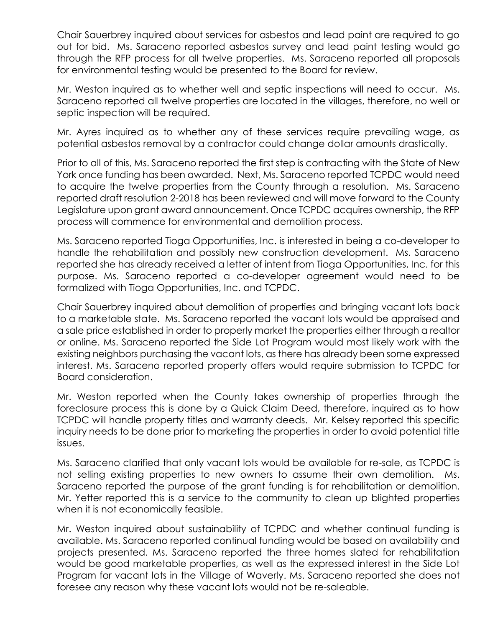Chair Sauerbrey inquired about services for asbestos and lead paint are required to go out for bid. Ms. Saraceno reported asbestos survey and lead paint testing would go through the RFP process for all twelve properties. Ms. Saraceno reported all proposals for environmental testing would be presented to the Board for review.

Mr. Weston inquired as to whether well and septic inspections will need to occur. Ms. Saraceno reported all twelve properties are located in the villages, therefore, no well or septic inspection will be required.

Mr. Ayres inquired as to whether any of these services require prevailing wage, as potential asbestos removal by a contractor could change dollar amounts drastically.

Prior to all of this, Ms. Saraceno reported the first step is contracting with the State of New York once funding has been awarded. Next, Ms. Saraceno reported TCPDC would need to acquire the twelve properties from the County through a resolution. Ms. Saraceno reported draft resolution 2-2018 has been reviewed and will move forward to the County Legislature upon grant award announcement. Once TCPDC acquires ownership, the RFP process will commence for environmental and demolition process.

Ms. Saraceno reported Tioga Opportunities, Inc. is interested in being a co-developer to handle the rehabilitation and possibly new construction development. Ms. Saraceno reported she has already received a letter of intent from Tioga Opportunities, Inc. for this purpose. Ms. Saraceno reported a co-developer agreement would need to be formalized with Tioga Opportunities, Inc. and TCPDC.

Chair Sauerbrey inquired about demolition of properties and bringing vacant lots back to a marketable state. Ms. Saraceno reported the vacant lots would be appraised and a sale price established in order to properly market the properties either through a realtor or online. Ms. Saraceno reported the Side Lot Program would most likely work with the existing neighbors purchasing the vacant lots, as there has already been some expressed interest. Ms. Saraceno reported property offers would require submission to TCPDC for Board consideration.

Mr. Weston reported when the County takes ownership of properties through the foreclosure process this is done by a Quick Claim Deed, therefore, inquired as to how TCPDC will handle property titles and warranty deeds. Mr. Kelsey reported this specific inquiry needs to be done prior to marketing the properties in order to avoid potential title issues.

Ms. Saraceno clarified that only vacant lots would be available for re-sale, as TCPDC is not selling existing properties to new owners to assume their own demolition. Ms. Saraceno reported the purpose of the grant funding is for rehabilitation or demolition. Mr. Yetter reported this is a service to the community to clean up blighted properties when it is not economically feasible.

Mr. Weston inquired about sustainability of TCPDC and whether continual funding is available. Ms. Saraceno reported continual funding would be based on availability and projects presented. Ms. Saraceno reported the three homes slated for rehabilitation would be good marketable properties, as well as the expressed interest in the Side Lot Program for vacant lots in the Village of Waverly. Ms. Saraceno reported she does not foresee any reason why these vacant lots would not be re-saleable.